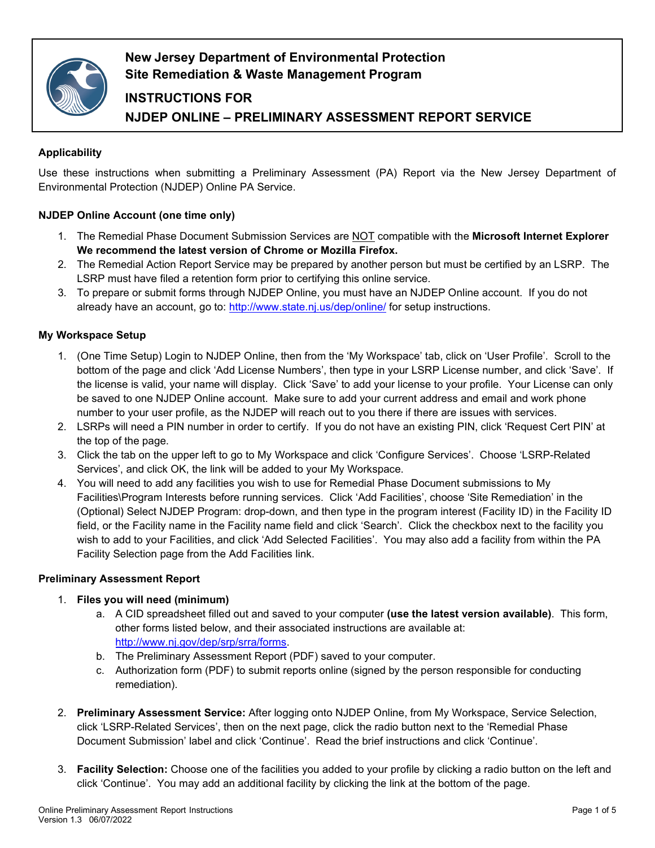

# **New Jersey Department of Environmental Protection Site Remediation & Waste Management Program**

# **INSTRUCTIONS FOR NJDEP ONLINE – PRELIMINARY ASSESSMENT REPORT SERVICE**

## **Applicability**

Use these instructions when submitting a Preliminary Assessment (PA) Report via the New Jersey Department of Environmental Protection (NJDEP) Online PA Service.

## **NJDEP Online Account (one time only)**

- 1. The Remedial Phase Document Submission Services are NOT compatible with the **Microsoft Internet Explorer We recommend the latest version of Chrome or Mozilla Firefox.**
- 2. The Remedial Action Report Service may be prepared by another person but must be certified by an LSRP. The LSRP must have filed a retention form prior to certifying this online service.
- 3. To prepare or submit forms through NJDEP Online, you must have an NJDEP Online account. If you do not already have an account, go to:<http://www.state.nj.us/dep/online/> for setup instructions.

## **My Workspace Setup**

- 1. (One Time Setup) Login to NJDEP Online, then from the 'My Workspace' tab, click on 'User Profile'. Scroll to the bottom of the page and click 'Add License Numbers', then type in your LSRP License number, and click 'Save'. If the license is valid, your name will display. Click 'Save' to add your license to your profile. Your License can only be saved to one NJDEP Online account. Make sure to add your current address and email and work phone number to your user profile, as the NJDEP will reach out to you there if there are issues with services.
- 2. LSRPs will need a PIN number in order to certify. If you do not have an existing PIN, click 'Request Cert PIN' at the top of the page.
- 3. Click the tab on the upper left to go to My Workspace and click 'Configure Services'. Choose 'LSRP-Related Services', and click OK, the link will be added to your My Workspace.
- 4. You will need to add any facilities you wish to use for Remedial Phase Document submissions to My Facilities\Program Interests before running services. Click 'Add Facilities', choose 'Site Remediation' in the (Optional) Select NJDEP Program: drop-down, and then type in the program interest (Facility ID) in the Facility ID field, or the Facility name in the Facility name field and click 'Search'. Click the checkbox next to the facility you wish to add to your Facilities, and click 'Add Selected Facilities'. You may also add a facility from within the PA Facility Selection page from the Add Facilities link.

#### **Preliminary Assessment Report**

## 1. **Files you will need (minimum)**

- a. A CID spreadsheet filled out and saved to your computer **(use the latest version available)**. This form, other forms listed below, and their associated instructions are available at: [http://www.nj.gov/dep/srp/srra/forms.](http://www.nj.gov/dep/srp/srra/forms)
- b. The Preliminary Assessment Report (PDF) saved to your computer.
- c. Authorization form (PDF) to submit reports online (signed by the person responsible for conducting remediation).
- 2. **Preliminary Assessment Service:** After logging onto NJDEP Online, from My Workspace, Service Selection, click 'LSRP-Related Services', then on the next page, click the radio button next to the 'Remedial Phase Document Submission' label and click 'Continue'. Read the brief instructions and click 'Continue'.
- 3. **Facility Selection:** Choose one of the facilities you added to your profile by clicking a radio button on the left and click 'Continue'. You may add an additional facility by clicking the link at the bottom of the page.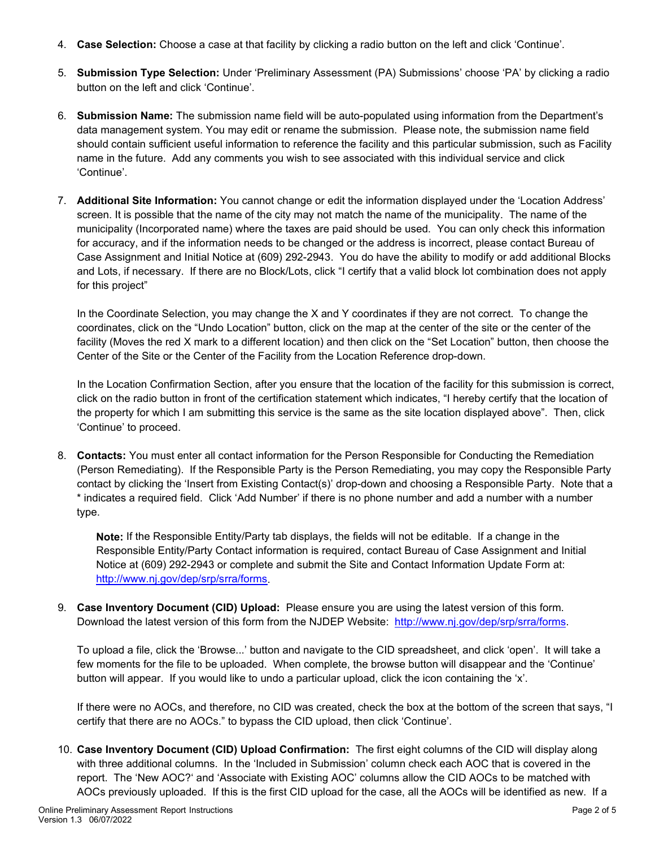- 4. **Case Selection:** Choose a case at that facility by clicking a radio button on the left and click 'Continue'.
- 5. **Submission Type Selection:** Under 'Preliminary Assessment (PA) Submissions' choose 'PA' by clicking a radio button on the left and click 'Continue'.
- 6. **Submission Name:** The submission name field will be auto-populated using information from the Department's data management system. You may edit or rename the submission. Please note, the submission name field should contain sufficient useful information to reference the facility and this particular submission, such as Facility name in the future. Add any comments you wish to see associated with this individual service and click 'Continue'.
- 7. **Additional Site Information:** You cannot change or edit the information displayed under the 'Location Address' screen. It is possible that the name of the city may not match the name of the municipality. The name of the municipality (Incorporated name) where the taxes are paid should be used. You can only check this information for accuracy, and if the information needs to be changed or the address is incorrect, please contact Bureau of Case Assignment and Initial Notice at (609) 292-2943. You do have the ability to modify or add additional Blocks and Lots, if necessary. If there are no Block/Lots, click "I certify that a valid block lot combination does not apply for this project"

In the Coordinate Selection, you may change the X and Y coordinates if they are not correct. To change the coordinates, click on the "Undo Location" button, click on the map at the center of the site or the center of the facility (Moves the red X mark to a different location) and then click on the "Set Location" button, then choose the Center of the Site or the Center of the Facility from the Location Reference drop-down.

In the Location Confirmation Section, after you ensure that the location of the facility for this submission is correct, click on the radio button in front of the certification statement which indicates, "I hereby certify that the location of the property for which I am submitting this service is the same as the site location displayed above". Then, click 'Continue' to proceed.

8. **Contacts:** You must enter all contact information for the Person Responsible for Conducting the Remediation (Person Remediating). If the Responsible Party is the Person Remediating, you may copy the Responsible Party contact by clicking the 'Insert from Existing Contact(s)' drop-down and choosing a Responsible Party. Note that a \* indicates a required field. Click 'Add Number' if there is no phone number and add a number with a number type.

**Note:** If the Responsible Entity/Party tab displays, the fields will not be editable. If a change in the Responsible Entity/Party Contact information is required, contact Bureau of Case Assignment and Initial Notice at (609) 292-2943 or complete and submit the Site and Contact Information Update Form at: [http://www.nj.gov/dep/srp/srra/forms.](http://www.nj.gov/dep/srp/srra/forms)

9. **Case Inventory Document (CID) Upload:** Please ensure you are using the latest version of this form. Download the latest version of this form from the NJDEP Website: [http://www.nj.gov/dep/srp/srra/forms.](http://www.nj.gov/dep/srp/srra/forms)

To upload a file, click the 'Browse...' button and navigate to the CID spreadsheet, and click 'open'. It will take a few moments for the file to be uploaded. When complete, the browse button will disappear and the 'Continue' button will appear. If you would like to undo a particular upload, click the icon containing the 'x'.

If there were no AOCs, and therefore, no CID was created, check the box at the bottom of the screen that says, "I certify that there are no AOCs." to bypass the CID upload, then click 'Continue'.

10. **Case Inventory Document (CID) Upload Confirmation:** The first eight columns of the CID will display along with three additional columns. In the 'Included in Submission' column check each AOC that is covered in the report. The 'New AOC?' and 'Associate with Existing AOC' columns allow the CID AOCs to be matched with AOCs previously uploaded. If this is the first CID upload for the case, all the AOCs will be identified as new. If a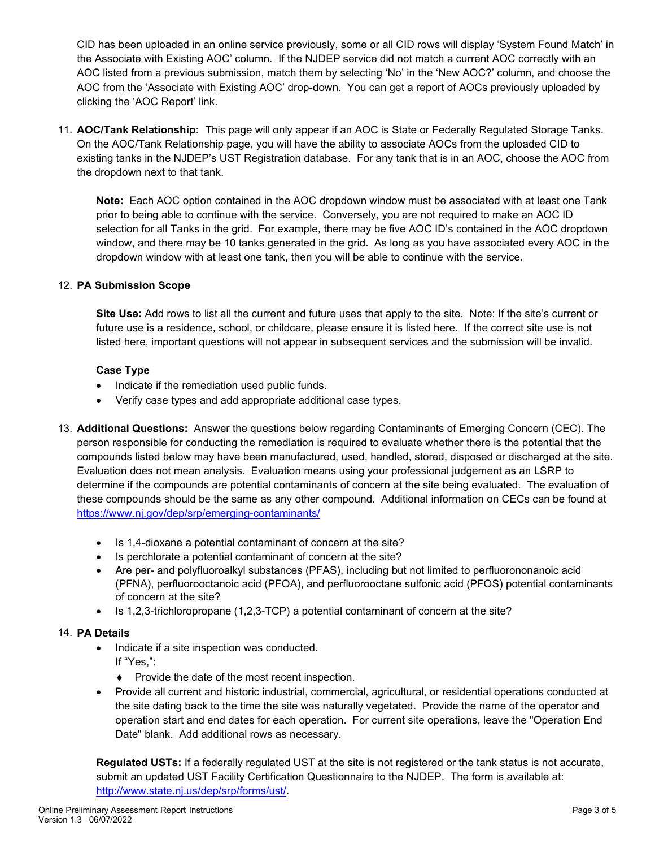CID has been uploaded in an online service previously, some or all CID rows will display 'System Found Match' in the Associate with Existing AOC' column. If the NJDEP service did not match a current AOC correctly with an AOC listed from a previous submission, match them by selecting 'No' in the 'New AOC?' column, and choose the AOC from the 'Associate with Existing AOC' drop-down. You can get a report of AOCs previously uploaded by clicking the 'AOC Report' link.

11. **AOC/Tank Relationship:** This page will only appear if an AOC is State or Federally Regulated Storage Tanks. On the AOC/Tank Relationship page, you will have the ability to associate AOCs from the uploaded CID to existing tanks in the NJDEP's UST Registration database. For any tank that is in an AOC, choose the AOC from the dropdown next to that tank.

**Note:** Each AOC option contained in the AOC dropdown window must be associated with at least one Tank prior to being able to continue with the service. Conversely, you are not required to make an AOC ID selection for all Tanks in the grid. For example, there may be five AOC ID's contained in the AOC dropdown window, and there may be 10 tanks generated in the grid. As long as you have associated every AOC in the dropdown window with at least one tank, then you will be able to continue with the service.

### 12. **PA Submission Scope**

**Site Use:** Add rows to list all the current and future uses that apply to the site. Note: If the site's current or future use is a residence, school, or childcare, please ensure it is listed here. If the correct site use is not listed here, important questions will not appear in subsequent services and the submission will be invalid.

### **Case Type**

- Indicate if the remediation used public funds.
- Verify case types and add appropriate additional case types.
- 13. **Additional Questions:** Answer the questions below regarding Contaminants of Emerging Concern (CEC). The person responsible for conducting the remediation is required to evaluate whether there is the potential that the compounds listed below may have been manufactured, used, handled, stored, disposed or discharged at the site. Evaluation does not mean analysis. Evaluation means using your professional judgement as an LSRP to determine if the compounds are potential contaminants of concern at the site being evaluated. The evaluation of these compounds should be the same as any other compound. Additional information on CECs can be found at <https://www.nj.gov/dep/srp/emerging-contaminants/>
	- Is 1,4-dioxane a potential contaminant of concern at the site?
	- Is perchlorate a potential contaminant of concern at the site?
	- Are per- and polyfluoroalkyl substances (PFAS), including but not limited to perfluorononanoic acid (PFNA), perfluorooctanoic acid (PFOA), and perfluorooctane sulfonic acid (PFOS) potential contaminants of concern at the site?
	- Is 1,2,3-trichloropropane (1,2,3-TCP) a potential contaminant of concern at the site?

#### 14. **PA Details**

- Indicate if a site inspection was conducted.
	- If "Yes,":
		- ♦ Provide the date of the most recent inspection.
- Provide all current and historic industrial, commercial, agricultural, or residential operations conducted at the site dating back to the time the site was naturally vegetated. Provide the name of the operator and operation start and end dates for each operation. For current site operations, leave the "Operation End Date" blank. Add additional rows as necessary.

**Regulated USTs:** If a federally regulated UST at the site is not registered or the tank status is not accurate, submit an updated UST Facility Certification Questionnaire to the NJDEP. The form is available at: [http://www.state.nj.us/dep/srp/forms/ust/.](http://www.state.nj.us/dep/srp/forms/ust/)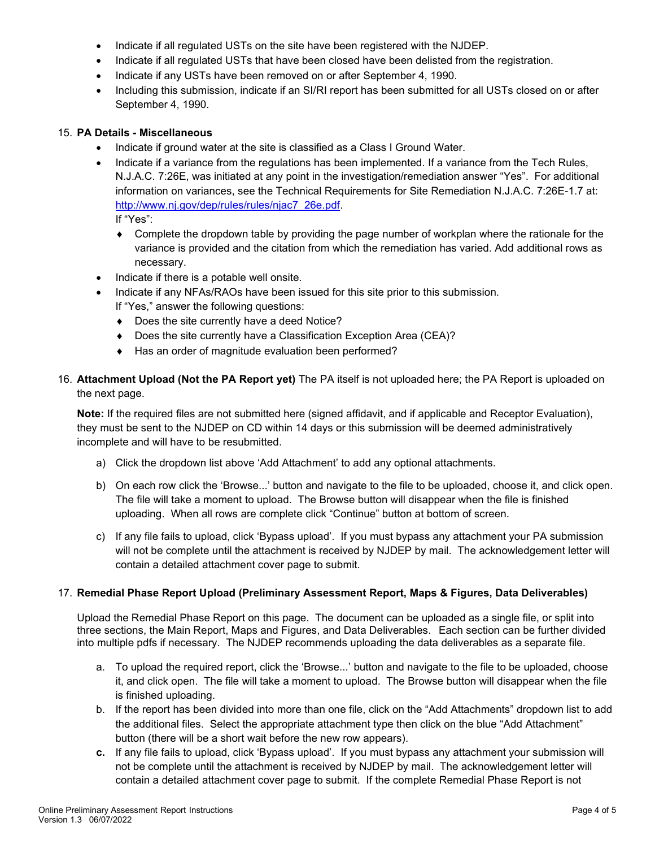- Indicate if all regulated USTs on the site have been registered with the NJDEP.
- Indicate if all regulated USTs that have been closed have been delisted from the registration.
- Indicate if any USTs have been removed on or after September 4, 1990.
- Including this submission, indicate if an SI/RI report has been submitted for all USTs closed on or after September 4, 1990.

#### 15. **PA Details - Miscellaneous**

- Indicate if ground water at the site is classified as a Class I Ground Water.
- Indicate if a variance from the regulations has been implemented. If a variance from the Tech Rules, N.J.A.C. 7:26E, was initiated at any point in the investigation/remediation answer "Yes". For additional information on variances, see the Technical Requirements for Site Remediation N.J.A.C. 7:26E-1.7 at: [http://www.nj.gov/dep/rules/rules/njac7\\_26e.pdf.](http://www.nj.gov/dep/rules/rules/njac7_26e.pdf) If "Yes":

♦ Complete the dropdown table by providing the page number of workplan where the rationale for the variance is provided and the citation from which the remediation has varied. Add additional rows as necessary.

- Indicate if there is a potable well onsite.
- Indicate if any NFAs/RAOs have been issued for this site prior to this submission. If "Yes," answer the following questions:
	- ♦ Does the site currently have a deed Notice?
	- ♦ Does the site currently have a Classification Exception Area (CEA)?
	- ♦ Has an order of magnitude evaluation been performed?
- 16. **Attachment Upload (Not the PA Report yet)** The PA itself is not uploaded here; the PA Report is uploaded on the next page.

**Note:** If the required files are not submitted here (signed affidavit, and if applicable and Receptor Evaluation), they must be sent to the NJDEP on CD within 14 days or this submission will be deemed administratively incomplete and will have to be resubmitted.

- a) Click the dropdown list above 'Add Attachment' to add any optional attachments.
- b) On each row click the 'Browse...' button and navigate to the file to be uploaded, choose it, and click open. The file will take a moment to upload. The Browse button will disappear when the file is finished uploading. When all rows are complete click "Continue" button at bottom of screen.
- c) If any file fails to upload, click 'Bypass upload'. If you must bypass any attachment your PA submission will not be complete until the attachment is received by NJDEP by mail. The acknowledgement letter will contain a detailed attachment cover page to submit.

#### 17. **Remedial Phase Report Upload (Preliminary Assessment Report, Maps & Figures, Data Deliverables)**

Upload the Remedial Phase Report on this page. The document can be uploaded as a single file, or split into three sections, the Main Report, Maps and Figures, and Data Deliverables. Each section can be further divided into multiple pdfs if necessary. The NJDEP recommends uploading the data deliverables as a separate file.

- a. To upload the required report, click the 'Browse...' button and navigate to the file to be uploaded, choose it, and click open. The file will take a moment to upload. The Browse button will disappear when the file is finished uploading.
- b. If the report has been divided into more than one file, click on the "Add Attachments" dropdown list to add the additional files. Select the appropriate attachment type then click on the blue "Add Attachment" button (there will be a short wait before the new row appears).
- **c.** If any file fails to upload, click 'Bypass upload'. If you must bypass any attachment your submission will not be complete until the attachment is received by NJDEP by mail. The acknowledgement letter will contain a detailed attachment cover page to submit. If the complete Remedial Phase Report is not